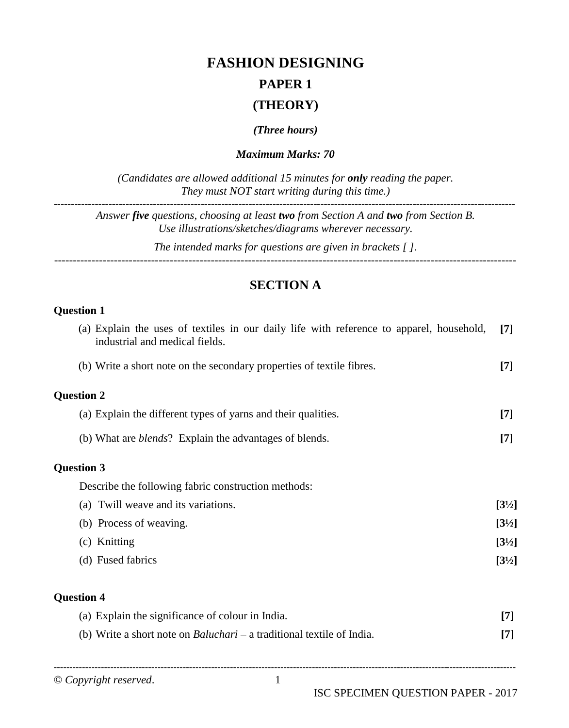# **FASHION DESIGNING**

## **PAPER 1**

### **(THEORY)**

*(Three hours)*

*Maximum Marks: 70*

*(Candidates are allowed additional 15 minutes for only reading the paper. They must NOT start writing during this time.)* **---------------------------------------------------------------------------------------------------------------------------------------**

*Answer five questions, choosing at least two from Section A and two from Section B. Use illustrations/sketches/diagrams wherever necessary.*

*The intended marks for questions are given in brackets [ ].*

*----------------------------------------------------------------------------------------------------------------------------*

### **SECTION A**

### **Question 1 Question 1**

| (a) Explain the uses of textiles in our daily life with reference to apparel, household,<br>industrial and medical fields. | $\lceil 7 \rceil$ |
|----------------------------------------------------------------------------------------------------------------------------|-------------------|
| (b) Write a short note on the secondary properties of textile fibres.                                                      | $[7]$             |
| <b>Question 2</b>                                                                                                          |                   |
| (a) Explain the different types of yarns and their qualities.                                                              | $[7]$             |
| (b) What are <i>blends</i> ? Explain the advantages of blends.                                                             | $[7]$             |
| <b>Question 3</b>                                                                                                          |                   |
| Describe the following fabric construction methods:                                                                        |                   |
| (a) Twill weave and its variations.                                                                                        | $[3\frac{1}{2}]$  |
| (b) Process of weaving.                                                                                                    | $[3\frac{1}{2}]$  |
| (c) Knitting                                                                                                               | $[3\frac{1}{2}]$  |
| (d) Fused fabrics                                                                                                          | $[3\frac{1}{2}]$  |
| <b>Question 4</b>                                                                                                          |                   |
| (a) Explain the significance of colour in India.                                                                           | $[7]$             |
| (b) Write a short note on <i>Baluchari</i> – a traditional textile of India.                                               | $[7]$             |

© *Copyright reserved*. 1

---------------------------------------------------------------------------------------------------------------------------------------------------